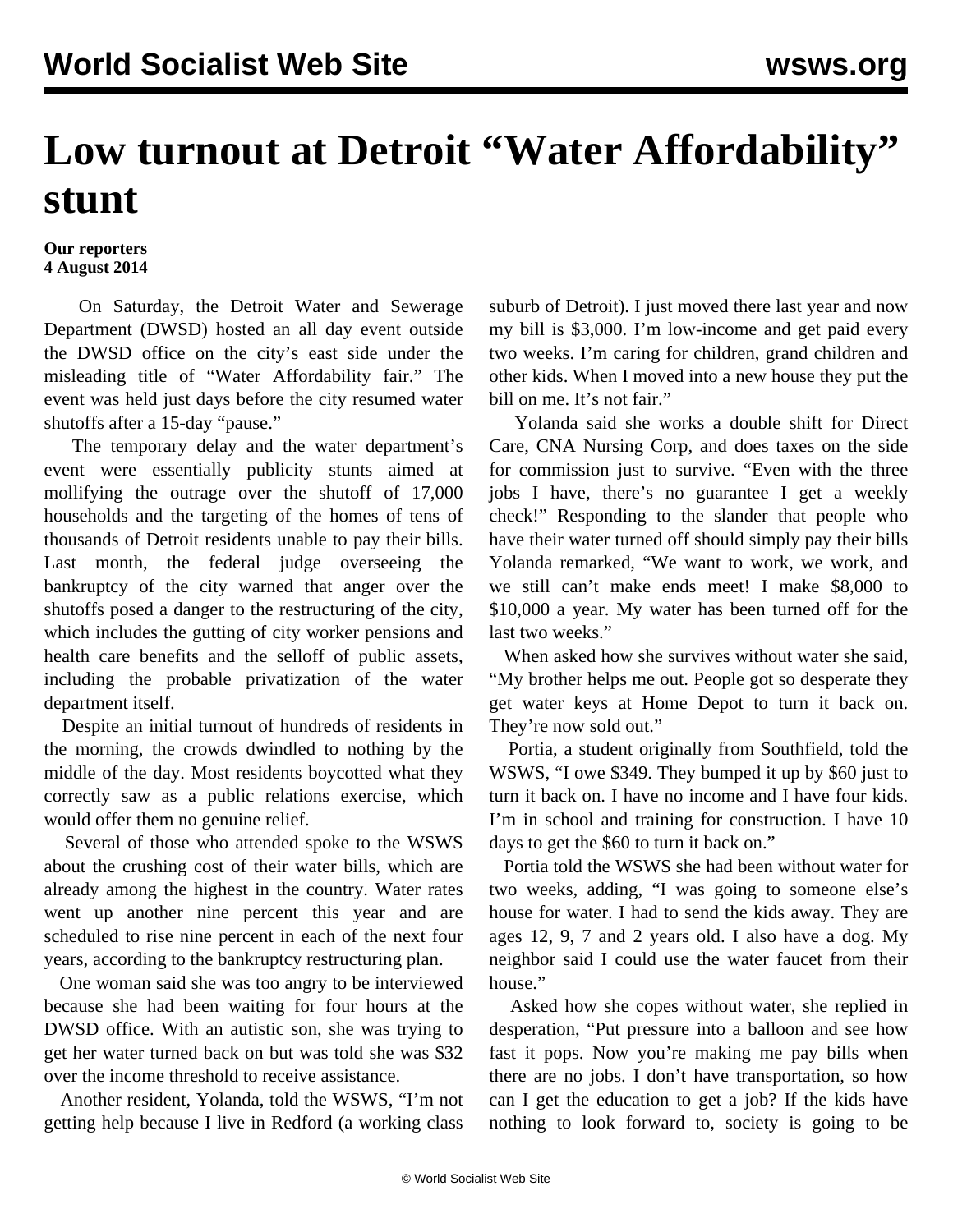## **Low turnout at Detroit "Water Affordability" stunt**

## **Our reporters 4 August 2014**

 On Saturday, the Detroit Water and Sewerage Department (DWSD) hosted an all day event outside the DWSD office on the city's east side under the misleading title of "Water Affordability fair." The event was held just days before the city resumed water shutoffs after a 15-day "pause."

 The temporary delay and the water department's event were essentially publicity stunts aimed at mollifying the outrage over the shutoff of 17,000 households and the targeting of the homes of tens of thousands of Detroit residents unable to pay their bills. Last month, the federal judge overseeing the bankruptcy of the city warned that anger over the shutoffs posed a danger to the restructuring of the city, which includes the gutting of city worker pensions and health care benefits and the selloff of public assets, including the probable privatization of the water department itself.

 Despite an initial turnout of hundreds of residents in the morning, the crowds dwindled to nothing by the middle of the day. Most residents boycotted what they correctly saw as a public relations exercise, which would offer them no genuine relief.

 Several of those who attended spoke to the WSWS about the crushing cost of their water bills, which are already among the highest in the country. Water rates went up another nine percent this year and are scheduled to rise nine percent in each of the next four years, according to the bankruptcy restructuring plan.

 One woman said she was too angry to be interviewed because she had been waiting for four hours at the DWSD office. With an autistic son, she was trying to get her water turned back on but was told she was \$32 over the income threshold to receive assistance.

 Another resident, Yolanda, told the WSWS, "I'm not getting help because I live in Redford (a working class

suburb of Detroit). I just moved there last year and now my bill is \$3,000. I'm low-income and get paid every two weeks. I'm caring for children, grand children and other kids. When I moved into a new house they put the bill on me. It's not fair."

 Yolanda said she works a double shift for Direct Care, CNA Nursing Corp, and does taxes on the side for commission just to survive. "Even with the three jobs I have, there's no guarantee I get a weekly check!" Responding to the slander that people who have their water turned off should simply pay their bills Yolanda remarked, "We want to work, we work, and we still can't make ends meet! I make \$8,000 to \$10,000 a year. My water has been turned off for the last two weeks."

 When asked how she survives without water she said, "My brother helps me out. People got so desperate they get water keys at Home Depot to turn it back on. They're now sold out."

 Portia, a student originally from Southfield, told the WSWS, "I owe \$349. They bumped it up by \$60 just to turn it back on. I have no income and I have four kids. I'm in school and training for construction. I have 10 days to get the \$60 to turn it back on."

 Portia told the WSWS she had been without water for two weeks, adding, "I was going to someone else's house for water. I had to send the kids away. They are ages 12, 9, 7 and 2 years old. I also have a dog. My neighbor said I could use the water faucet from their house."

 Asked how she copes without water, she replied in desperation, "Put pressure into a balloon and see how fast it pops. Now you're making me pay bills when there are no jobs. I don't have transportation, so how can I get the education to get a job? If the kids have nothing to look forward to, society is going to be